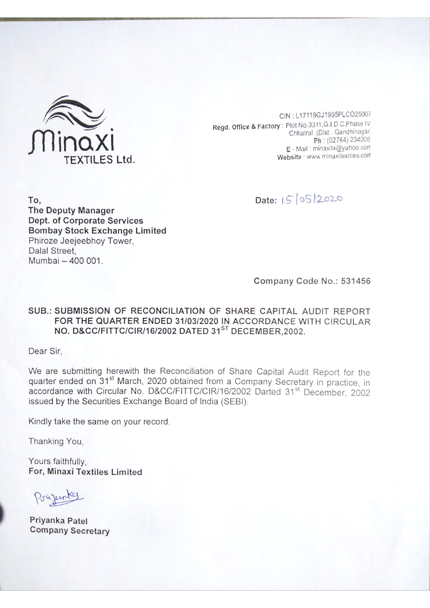

CIN: L17119GJ1995PLCO25007 Regd. Office & Factory: Plot No.3311, G.I.D.C.Phase IV Chhatral .(Dist . Gandhinagar) Ph: (02764) 234008 E - Mail: minaxitx@yahoo.com Website : www.minaxitextiles.com

Date: 15/05/2020

To, **The Deputy Manager Dept. of Corporate Services Bombay Stock Exchange Limited** Phiroze Jeejeebhoy Tower, Dalal Street. Mumbai - 400 001.

Company Code No.: 531456

## SUB.: SUBMISSION OF RECONCILIATION OF SHARE CAPITAL AUDIT REPORT FOR THE QUARTER ENDED 31/03/2020 IN ACCORDANCE WITH CIRCULAR NO. D&CC/FITTC/CIR/16/2002 DATED 31ST DECEMBER, 2002.

Dear Sir,

We are submitting herewith the Reconciliation of Share Capital Audit Report for the quarter ended on 31<sup>st</sup> March, 2020 obtained from a Company Secretary in practice, in accordance with Circular No. D&CC/FITTC/CIR/16/2002 Darted 31<sup>st</sup> December, 2002 issued by the Securities Exchange Board of India (SEBI).

Kindly take the same on your record.

Thanking You,

Yours faithfully, For, Minaxi Textiles Limited

Porjenty

Priyanka Patel **Company Secretary**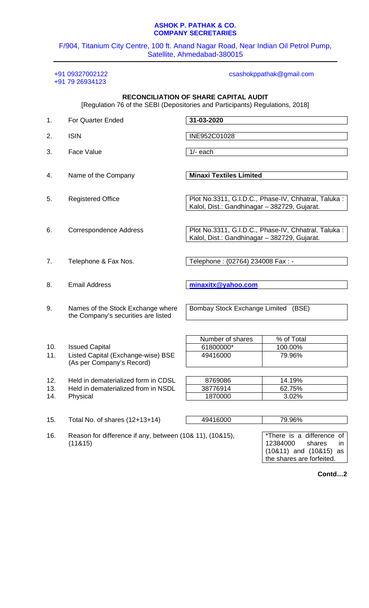#### **ASHOK P. PATHAK & CO. COMPANY SECRETARIES**

## F/904, Titanium City Centre, 100 ft. Anand Nagar Road, Near Indian Oil Petrol Pump, Satellite, Ahmedabad-380015

**RECONCILIATION OF SHARE CAPITAL AUDIT**  [Regulation 76 of the SEBI (Depositories and Participants) Regulations, 2018]

+91 09327002122 csashokppathak@gmail.com

+91 79 26934123

(11&15)

| 1.  | <b>For Quarter Ended</b>                                                 | 31-03-2020                                   |                                                     |
|-----|--------------------------------------------------------------------------|----------------------------------------------|-----------------------------------------------------|
| 2.  | <b>ISIN</b>                                                              | INE952C01028                                 |                                                     |
|     |                                                                          |                                              |                                                     |
| 3.  | Face Value                                                               | $1/-$ each                                   |                                                     |
|     |                                                                          |                                              |                                                     |
| 4.  | Name of the Company                                                      | <b>Minaxi Textiles Limited</b>               |                                                     |
|     |                                                                          |                                              |                                                     |
| 5.  | <b>Registered Office</b>                                                 | Kalol, Dist.: Gandhinagar - 382729, Gujarat. | Plot No.3311, G.I.D.C., Phase-IV, Chhatral, Taluka: |
|     |                                                                          |                                              |                                                     |
| 6.  | <b>Correspondence Address</b>                                            | Kalol, Dist.: Gandhinagar - 382729, Gujarat. | Plot No.3311, G.I.D.C., Phase-IV, Chhatral, Taluka: |
|     |                                                                          |                                              |                                                     |
| 7.  | Telephone & Fax Nos.                                                     | Telephone: (02764) 234008 Fax: -             |                                                     |
|     |                                                                          |                                              |                                                     |
| 8.  | <b>Email Address</b>                                                     | minaxitx@yahoo.com                           |                                                     |
|     |                                                                          |                                              |                                                     |
| 9.  | Names of the Stock Exchange where<br>the Company's securities are listed | Bombay Stock Exchange Limited                | (BSE)                                               |
|     |                                                                          |                                              |                                                     |
|     |                                                                          | Number of shares                             | % of Total                                          |
| 10. | <b>Issued Capital</b>                                                    | 61800000*                                    | 100.00%                                             |
| 11. | Listed Capital (Exchange-wise) BSE<br>(As per Company's Record)          | 49416000                                     | 79.96%                                              |
|     |                                                                          |                                              |                                                     |
| 12. | Held in dematerialized form in CDSL                                      | 8769086                                      | 14.19%                                              |
| 13. | Held in dematerialized from in NSDL                                      | 38776914                                     | 62.75%                                              |
| 14. | Physical                                                                 | 1870000                                      | 3.02%                                               |
|     |                                                                          |                                              |                                                     |
| 15. | Total No. of shares (12+13+14)                                           | 49416000                                     | 79.96%                                              |
|     |                                                                          |                                              |                                                     |
| 16. | Reason for difference if any, between (10& 11), (10&15),                 |                                              | *There is a difference of                           |

**Contd…2** 

12384000 shares in (10&11) and (10&15) as the shares are forfeited.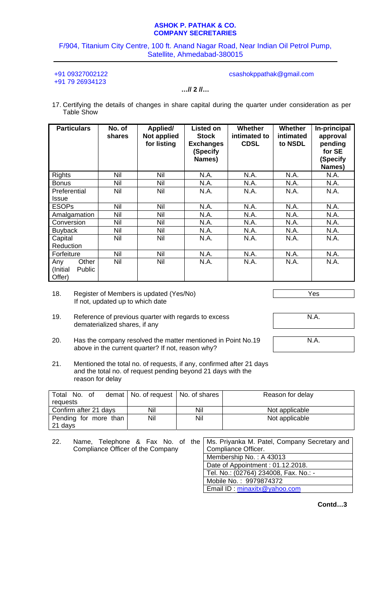#### **ASHOK P. PATHAK & CO. COMPANY SECRETARIES**

## F/904, Titanium City Centre, 100 ft. Anand Nagar Road, Near Indian Oil Petrol Pump, Satellite, Ahmedabad-380015

# +91 79 26934123

## +91 09327002122 csashokppathak@gmail.com

#### **…// 2 //…**

17. Certifying the details of changes in share capital during the quarter under consideration as per Table Show

| <b>Particulars</b>                            | No. of<br>shares | Applied/<br>Not applied<br>for listing | Listed on<br><b>Stock</b><br><b>Exchanges</b><br>(Specify<br>Names) | <b>Whether</b><br>intimated to<br><b>CDSL</b> | Whether<br>intimated<br>to NSDL | In-principal<br>approval<br>pending<br>for SE<br>(Specify<br>Names) |
|-----------------------------------------------|------------------|----------------------------------------|---------------------------------------------------------------------|-----------------------------------------------|---------------------------------|---------------------------------------------------------------------|
| <b>Rights</b>                                 | Nil              | Nil                                    | N.A.                                                                | N.A.                                          | N.A.                            | N.A.                                                                |
| <b>Bonus</b>                                  | Nil              | Nil                                    | N.A.                                                                | N.A.                                          | N.A.                            | N.A.                                                                |
| Preferential                                  | Nil              | Nil                                    | N.A.                                                                | N.A.                                          | N.A.                            | N.A.                                                                |
| <b>Issue</b>                                  |                  |                                        |                                                                     |                                               |                                 |                                                                     |
| <b>ESOPs</b>                                  | Nil              | <b>Nil</b>                             | N.A.                                                                | N.A.                                          | N.A.                            | N.A.                                                                |
| Amalgamation                                  | Nil              | Nil                                    | N.A.                                                                | N.A.                                          | N.A.                            | N.A.                                                                |
| Conversion                                    | Nil              | Nil                                    | N.A.                                                                | N.A.                                          | N.A.                            | N.A.                                                                |
| <b>Buyback</b>                                | Nil              | Nil                                    | N.A.                                                                | N.A.                                          | N.A.                            | N.A.                                                                |
| Capital                                       | Nil              | Nil                                    | N.A.                                                                | N.A.                                          | N.A.                            | N.A.                                                                |
| Reduction                                     |                  |                                        |                                                                     |                                               |                                 |                                                                     |
| Forfeiture                                    | Nil              | Nil                                    | N.A.                                                                | N.A.                                          | N.A.                            | N.A.                                                                |
| Other<br>Any<br>(Initial)<br>Public<br>Offer) | Nil              | Nil                                    | N.A.                                                                | N.A.                                          | N.A.                            | N.A.                                                                |

18. Register of Members is updated (Yes/No) The Contract of Members is updated (Yes/No) If not, updated up to which date

- 19. Reference of previous quarter with regards to excess dematerialized shares, if any
- 20. Has the company resolved the matter mentioned in Point No.19 above in the current quarter? If not, reason why?

N.A.

N.A.

21. Mentioned the total no. of requests, if any, confirmed after 21 days and the total no. of request pending beyond 21 days with the reason for delay

| Total No. of<br>requests |  | demat $\vert$ No. of request $\vert$ No. of shares |     | Reason for delay |  |
|--------------------------|--|----------------------------------------------------|-----|------------------|--|
| Confirm after 21 days    |  | Nil                                                | Nil | Not applicable   |  |
| Pending for more than    |  | Nil                                                | Nil | Not applicable   |  |
| 21 days                  |  |                                                    |     |                  |  |

22. Name, Telephone & Fax No. of the Compliance Officer of the Company

| 22. |                                   | Name, Telephone & Fax No. of the   Ms. Priyanka M. Patel, Company Secretary and |
|-----|-----------------------------------|---------------------------------------------------------------------------------|
|     | Compliance Officer of the Company | Compliance Officer.                                                             |
|     |                                   | Membership No.: A 43013                                                         |
|     |                                   | Date of Appointment: 01.12.2018.                                                |
|     |                                   | Tel. No.: (02764) 234008, Fax. No.: -                                           |
|     |                                   | Mobile No.: 9979874372                                                          |
|     |                                   | Email ID: minaxitx@yahoo.com                                                    |
|     |                                   |                                                                                 |

**Contd…3**